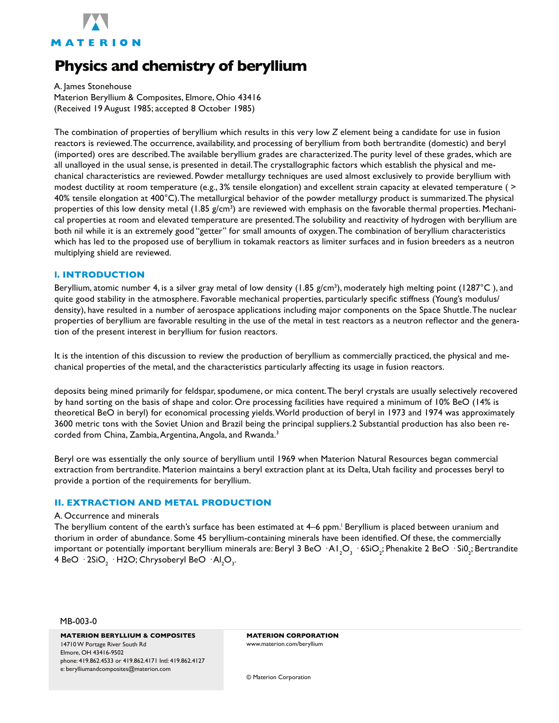

## **Physics and chemistry of beryllium**

A. James Stonehouse Materion Beryllium & Composites, Elmore, Ohio 43416 (Received 19 August 1985; accepted 8 October 1985)

The combination of properties of beryllium which results in this very low *Z* element being a candidate for use in fusion reactors is reviewed. The occurrence, availability, and processing of beryllium from both bertrandite (domestic) and beryl (imported) ores are described. The available beryllium grades are characterized. The purity level of these grades, which are all unalloyed in the usual sense, is presented in detail. The crystallographic factors which establish the physical and mechanical characteristics are reviewed. Powder metallurgy techniques are used almost exclusively to provide beryllium with modest ductility at room temperature (e.g., 3% tensile elongation) and excellent strain capacity at elevated temperature ( > 40% tensile elongation at 400°C). The metallurgical behavior of the powder metallurgy product is summarized. The physical properties of this low density metal (1.85 g/cm<sup>3</sup>) are reviewed with emphasis on the favorable thermal properties. Mechanical properties at room and elevated temperature are presented. The solubility and reactivity of hydrogen with beryllium are both nil while it is an extremely good "getter" for small amounts of oxygen. The combination of beryllium characteristics which has led to the proposed use of beryllium in tokamak reactors as limiter surfaces and in fusion breeders as a neutron multiplying shield are reviewed.

#### **l. INTRODUCTION**

Beryllium, atomic number 4, is a silver gray metal of low density (1.85 g/cm<sup>3</sup>), moderately high melting point (1287°C), and quite good stability in the atmosphere. Favorable mechanical properties, particularly specific stiffness (Young's modulus/ density), have resulted in a number of aerospace applications including major components on the Space Shuttle. The nuclear properties of beryllium are favorable resulting in the use of the metal in test reactors as a neutron reflector and the generation of the present interest in beryllium for fusion reactors.

It is the intention of this discussion to review the production of beryllium as commercially practiced, the physical and mechanical properties of the metal, and the characteristics particularly affecting its usage in fusion reactors.

deposits being mined primarily for feldspar, spodumene, or mica content. The beryl crystals are usually selectively recovered by hand sorting on the basis of shape and color. Ore processing facilities have required a minimum of 10% BeO (14% is theoretical BeO in beryl) for economical processing yields. World production of beryl in 1973 and 1974 was approximately 3600 metric tons with the Soviet Union and Brazil being the principal suppliers.2 Substantial production has also been recorded from China, Zambia, Argentina, Angola, and Rwanda.<sup>3</sup>

Beryl ore was essentially the only source of beryllium until 1969 when Materion Natural Resources began commercial extraction from bertrandite. Materion maintains a beryl extraction plant at its Delta, Utah facility and processes beryl to provide a portion of the requirements for beryllium.

#### **II. EXTRACTION AND METAL PRODUCTION**

#### A. Occurrence and minerals

The beryllium content of the earth's surface has been estimated at 4–6 ppm. Beryllium is placed between uranium and thorium in order of abundance. Some 45 beryllium-containing minerals have been identified. Of these, the commercially important or potentially important beryllium minerals are: Beryl 3 BeO  $\,\cdot$ AI $_2$ O $_3$   $\,\cdot$  6SiO $_2$ ; Phenakite 2 BeO  $\,\cdot$  Si0 $_2$ ; Bertrandite 4 BeO $\,$   $\,$   $\,$  2SiO $\rm_2$   $\,$   $\,$  H2O; Chrysoberyl BeO  $\,$   $\,$  Al $\rm_2$ O $\rm_3$ .

#### MB-003-0

**MATERION BERYLLIUM & COMPOSITES**  14710 W Portage River South Rd Elmore, OH 43416-9502 phone: 419.862.4533 or 419.862.4171 Intl: 419.862.4127 e: berylliumandcomposites@materion.com

**MATERION CORPORATION** www.materion.com/beryllium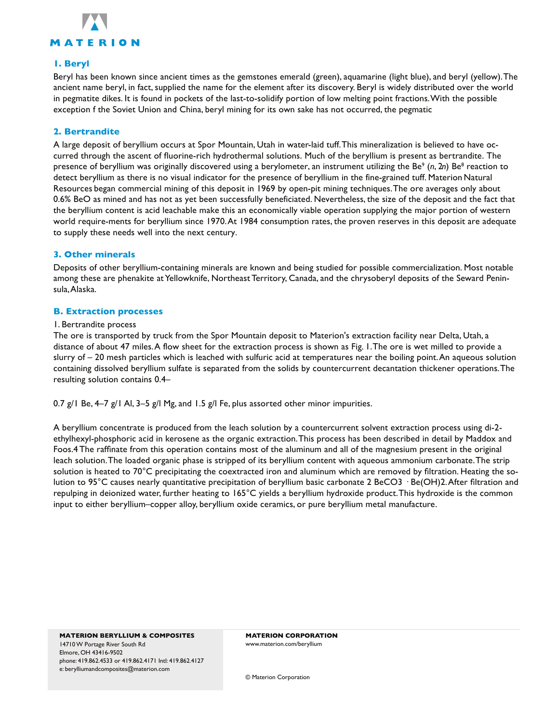

#### **1. Beryl**

Beryl has been known since ancient times as the gemstones emerald (green), aquamarine (light blue), and beryl (yellow). The ancient name beryl, in fact, supplied the name for the element after its discovery. Beryl is widely distributed over the world in pegmatite dikes. It is found in pockets of the last-to-solidify portion of low melting point fractions. With the possible exception f the Soviet Union and China, beryl mining for its own sake has not occurred, the pegmatic

#### **2. Bertrandite**

A large deposit of beryllium occurs at Spor Mountain, Utah in water-laid tuff.This mineralization is believed to have occurred through the ascent of fluorine-rich hydrothermal solutions. Much of the beryllium is present as bertrandite. The presence of beryllium was originally discovered using a berylometer, an instrument utilizing the Be<sup>9</sup> (n, 2n) Be<sup>8</sup> reaction to detect beryllium as there is no visual indicator for the presence of beryllium in the fine-grained tuff. Materion Natural Resources began commercial mining of this deposit in 1969 by open-pit mining techniques.The ore averages only about 0.6% BeO as mined and has not as yet been successfully beneficiated. Nevertheless, the size of the deposit and the fact that the beryllium content is acid leachable make this an economically viable operation supplying the major portion of western world require-ments for beryllium since 1970.At 1984 consumption rates, the proven reserves in this deposit are adequate to supply these needs well into the next century.

#### **3. Other minerals**

Deposits of other beryllium-containing minerals are known and being studied for possible commercialization. Most notable among these are phenakite at Yellowknife, Northeast Territory, Canada, and the chrysoberyl deposits of the Seward Peninsula, Alaska.

#### **B. Extraction processes**

#### 1. Bertrandite process

The ore is transported by truck from the Spor Mountain deposit to Materion's extraction facility near Delta, Utah, a distance of about 47 miles.A flow sheet for the extraction process is shown as Fig. 1.The ore is wet milled to provide a slurry of – 20 mesh particles which is leached with sulfuric acid at temperatures near the boiling point.An aqueous solution containing dissolved beryllium sulfate is separated from the solids by countercurrent decantation thickener operations.The resulting solution contains 0.4–

0.7 g/1 Be, 4–7 g/1 Al, 3–5 g/l Mg, and 1.5 g/l Fe, plus assorted other minor impurities.

A beryllium concentrate is produced from the leach solution by a countercurrent solvent extraction process using di-2 ethylhexyl-phosphoric acid in kerosene as the organic extraction. This process has been described in detail by Maddox and Foos.4 The raffinate from this operation contains most of the aluminum and all of the magnesium present in the original leach solution. The loaded organic phase is stripped of its beryllium content with aqueous ammonium carbonate. The strip solution is heated to 70°C precipitating the coextracted iron and aluminum which are removed by filtration. Heating the solution to 95°C causes nearly quantitative precipitation of beryllium basic carbonate 2 BeCO3 · Be(OH)2. After filtration and repulping in deionized water, further heating to 165°C yields a beryllium hydroxide product. This hydroxide is the common input to either beryllium–copper alloy, beryllium oxide ceramics, or pure beryllium metal manufacture.

**MATERION BERYLLIUM & COMPOSITES**  14710 W Portage River South Rd Elmore, OH 43416-9502 phone: 419.862.4533 or 419.862.4171 Intl: 419.862.4127 e: berylliumandcomposites@materion.com

**MATERION CORPORATION** www.materion.com/beryllium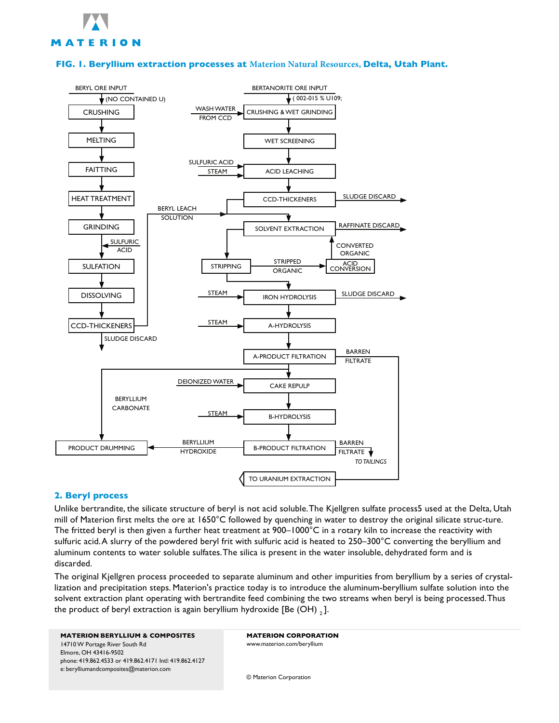

#### **FIG. 1. Beryllium extraction processes at Materion Natural Resources, Delta, Utah Plant.**



#### **2. Beryl process**

Unlike bertrandite, the silicate structure of beryl is not acid soluble.The Kjellgren sulfate process5 used at the Delta, Utah mill of Materion first melts the ore at 1650°C followed by quenching in water to destroy the original silicate struc-ture. The fritted beryl is then given a further heat treatment at  $900-1000^{\circ}$ C in a rotary kiln to increase the reactivity with sulfuric acid.A slurry of the powdered beryl frit with sulfuric acid is heated to 250–300°C converting the beryllium and aluminum contents to water soluble sulfates.The silica is present in the water insoluble, dehydrated form and is discarded.

The original Kjellgren process proceeded to separate aluminum and other impurities from beryllium by a series of crystallization and precipitation steps. Materion's practice today is to introduce the aluminum-beryllium sulfate solution into the solvent extraction plant operating with bertrandite feed combining the two streams when beryl is being processed.Thus the product of beryl extraction is again beryllium hydroxide [Be  $(OH)$ ].

**MATERION BERYLLIUM & COMPOSITES**  14710 W Portage River South Rd Elmore, OH 43416-9502 phone: 419.862.4533 or 419.862.4171 Intl: 419.862.4127 e: berylliumandcomposites@materion.com

**MATERION CORPORATION** www.materion.com/beryllium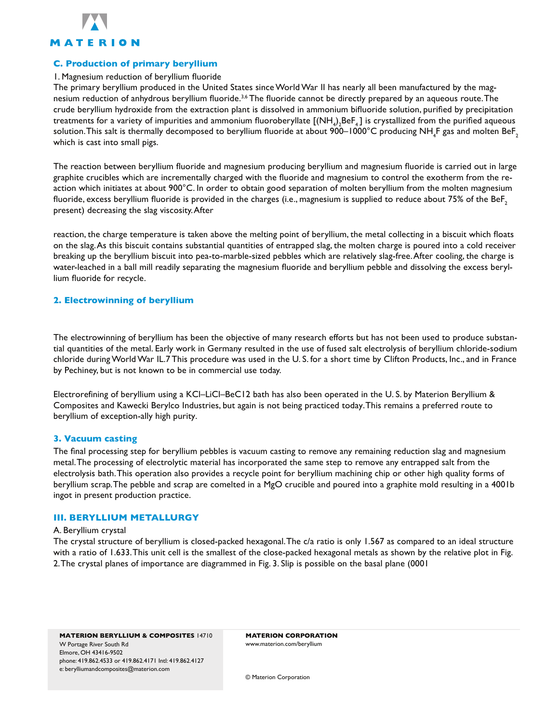

#### **C. Production of primary beryllium**

#### 1. Magnesium reduction of beryllium fluoride

The primary beryllium produced in the United States since World War II has nearly all been manufactured by the magnesium reduction of anhydrous beryllium fluoride.<sup>3,6</sup> The fluoride cannot be directly prepared by an aqueous route. The crude beryllium hydroxide from the extraction plant is dissolved in ammonium bifluoride solution, purified by precipitation treatments for a variety of impurities and ammonium fluoroberyllate [(NH<sub>4</sub>)<sub>2</sub>BeF<sub>4</sub>] is crystallized from the purified aqueous solution.This salt is thermally decomposed to beryllium fluoride at about 900–1000°C producing NH<sub>4</sub>F gas and molten BeF<sub>2</sub> which is cast into small pigs.

The reaction between beryllium fluoride and magnesium producing beryllium and magnesium fluoride is carried out in large graphite crucibles which are incrementally charged with the fluoride and magnesium to control the exotherm from the reaction which initiates at about 900°C. In order to obtain good separation of molten beryllium from the molten magnesium fluoride, excess beryllium fluoride is provided in the charges (i.e., magnesium is supplied to reduce about 75% of the BeF<sub>2</sub> present) decreasing the slag viscosity. After

reaction, the charge temperature is taken above the melting point of beryllium, the metal collecting in a biscuit which floats on the slag. As this biscuit contains substantial quantities of entrapped slag, the molten charge is poured into a cold receiver breaking up the beryllium biscuit into pea-to-marble-sized pebbles which are relatively slag-free. After cooling, the charge is water-leached in a ball mill readily separating the magnesium fluoride and beryllium pebble and dissolving the excess beryllium fluoride for recycle.

#### **2. Electrowinning of beryllium**

The electrowinning of beryllium has been the objective of many research efforts but has not been used to produce substantial quantities of the metal. Early work in Germany resulted in the use of fused salt electrolysis of beryllium chloride-sodium chloride during World War IL.7 This procedure was used in the U. S. for a short time by Clifton Products, Inc., and in France by Pechiney, but is not known to be in commercial use today.

Electrorefining of beryllium using a KCl–LiCl–BeC12 bath has also been operated in the U. S. by Materion Beryllium & Composites and Kawecki Berylco Industries, but again is not being practiced today.This remains a preferred route to beryllium of exception-ally high purity.

#### **3. Vacuum casting**

The final processing step for beryllium pebbles is vacuum casting to remove any remaining reduction slag and magnesium metal. The processing of electrolytic material has incorporated the same step to remove any entrapped salt from the electrolysis bath. This operation also provides a recycle point for beryllium machining chip or other high quality forms of beryllium scrap. The pebble and scrap are comelted in a MgO crucible and poured into a graphite mold resulting in a 4001b ingot in present production practice.

#### **III. BERYLLIUM METALLURGY**

#### A. Beryllium crystal

The crystal structure of beryllium is closed-packed hexagonal. The c/a ratio is only 1.567 as compared to an ideal structure with a ratio of 1.633. This unit cell is the smallest of the close-packed hexagonal metals as shown by the relative plot in Fig. 2. The crystal planes of importance are diagrammed in Fig. 3. Slip is possible on the basal plane (0001

**MATERION BERYLLIUM & COMPOSITES** 14710 W Portage River South Rd Elmore, OH 43416-9502 phone: 419.862.4533 or 419.862.4171 Intl: 419.862.4127 e: berylliumandcomposites@materion.com

**MATERION CORPORATION** www.materion.com/beryllium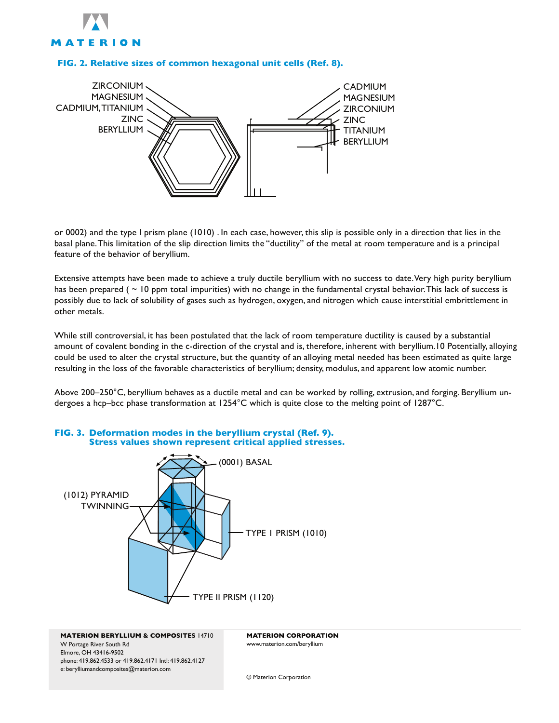

## **FIG. 2. Relative sizes of common hexagonal unit cells (Ref. 8).**



or 0002) and the type I prism plane (1010) . In each case, however, this slip is possible only in a direction that lies in the basal plane. This limitation of the slip direction limits the "ductility" of the metal at room temperature and is a principal feature of the behavior of beryllium.

Extensive attempts have been made to achieve a truly ductile beryllium with no success to date. Very high purity beryllium has been prepared ( ~ 10 ppm total impurities) with no change in the fundamental crystal behavior. This lack of success is possibly due to lack of solubility of gases such as hydrogen, oxygen, and nitrogen which cause interstitial embrittlement in other metals.

While still controversial, it has been postulated that the lack of room temperature ductility is caused by a substantial amount of covalent bonding in the c-direction of the crystal and is, therefore, inherent with beryllium.10 Potentially, alloying could be used to alter the crystal structure, but the quantity of an alloying metal needed has been estimated as quite large resulting in the loss of the favorable characteristics of beryllium; density, modulus, and apparent low atomic number.

Above 200–250°C, beryllium behaves as a ductile metal and can be worked by rolling, extrusion, and forging. Beryllium undergoes a hcp–bcc phase transformation at 1254°C which is quite close to the melting point of 1287°C.



#### **FIG. 3. Deformation modes in the beryllium crystal (Ref. 9). Stress values shown represent critical applied stresses.**

**MATERION BERYLLIUM & COMPOSITES** 14710 W Portage River South Rd Elmore, OH 43416-9502 phone: 419.862.4533 or 419.862.4171 Intl: 419.862.4127 e: berylliumandcomposites@materion.com

**MATERION CORPORATION** www.materion.com/beryllium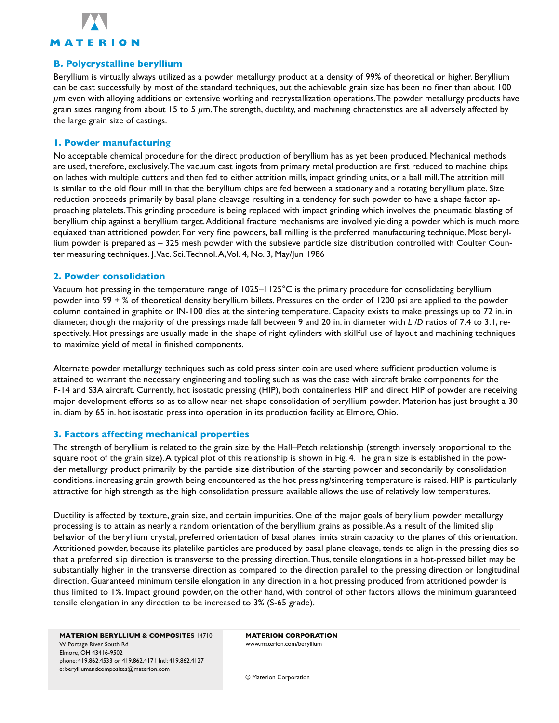

#### **B. Polycrystalline beryllium**

Beryllium is virtually always utilized as a powder metallurgy product at a density of 99% of theoretical or higher. Beryllium can be cast successfully by most of the standard techniques, but the achievable grain size has been no finer than about 100 *μ*m even with alloying additions or extensive working and recrystallization operations. The powder metallurgy products have grain sizes ranging from about 15 to 5 *μ*m. The strength, ductility, and machining chracteristics are all adversely affected by the large grain size of castings.

#### **1. Powder manufacturing**

No acceptable chemical procedure for the direct production of beryllium has as yet been produced. Mechanical methods are used, therefore, exclusively. The vacuum cast ingots from primary metal production are first reduced to machine chips on lathes with multiple cutters and then fed to either attrition mills, impact grinding units, or a ball mill. The attrition mill is similar to the old flour mill in that the beryllium chips are fed between a stationary and a rotating beryllium plate. Size reduction proceeds primarily by basal plane cleavage resulting in a tendency for such powder to have a shape factor approaching platelets. This grinding procedure is being replaced with impact grinding which involves the pneumatic blasting of beryllium chip against a beryllium target. Additional fracture mechanisms are involved yielding a powder which is much more equiaxed than attritioned powder. For very fine powders, ball milling is the preferred manufacturing technique. Most beryllium powder is prepared as – 325 mesh powder with the subsieve particle size distribution controlled with Coulter Counter measuring techniques. J. Vac. Sci. Technol. A, Vol. 4, No. 3, May/Jun 1986

#### **2. Powder consolidation**

Vacuum hot pressing in the temperature range of 1025–1125°C is the primary procedure for consolidating beryllium powder into 99 + % of theoretical density beryllium billets. Pressures on the order of 1200 psi are applied to the powder column contained in graphite or IN-100 dies at the sintering temperature. Capacity exists to make pressings up to 72 in. in diameter, though the majority of the pressings made fall between 9 and 20 in. in diameter with *L /D* ratios of 7.4 to 3.1, respectively. Hot pressings are usually made in the shape of right cylinders with skillful use of layout and machining techniques to maximize yield of metal in finished components.

Alternate powder metallurgy techniques such as cold press sinter coin are used where sufficient production volume is attained to warrant the necessary engineering and tooling such as was the case with aircraft brake components for the F-14 and S3A aircraft. Currently, hot isostatic pressing (HIP), both containerless HIP and direct HIP of powder are receiving major development efforts so as to allow near-net-shape consolidation of beryllium powder. Materion has just brought a 30 in. diam by 65 in. hot isostatic press into operation in its production facility at Elmore, Ohio.

## **3. Factors affecting mechanical properties**

The strength of beryllium is related to the grain size by the Hall–Petch relationship (strength inversely proportional to the square root of the grain size). A typical plot of this relationship is shown in Fig. 4. The grain size is established in the powder metallurgy product primarily by the particle size distribution of the starting powder and secondarily by consolidation conditions, increasing grain growth being encountered as the hot pressing/sintering temperature is raised. HIP is particularly attractive for high strength as the high consolidation pressure available allows the use of relatively low temperatures.

Ductility is affected by texture, grain size, and certain impurities. One of the major goals of beryllium powder metallurgy processing is to attain as nearly a random orientation of the beryllium grains as possible. As a result of the limited slip behavior of the beryllium crystal, preferred orientation of basal planes limits strain capacity to the planes of this orientation. Attritioned powder, because its platelike particles are produced by basal plane cleavage, tends to align in the pressing dies so that a preferred slip direction is transverse to the pressing direction. Thus, tensile elongations in a hot-pressed billet may be substantially higher in the transverse direction as compared to the direction parallel to the pressing direction or longitudinal direction. Guaranteed minimum tensile elongation in any direction in a hot pressing produced from attritioned powder is thus limited to 1%. Impact ground powder, on the other hand, with control of other factors allows the minimum guaranteed tensile elongation in any direction to be increased to 3% (S-65 grade).

**MATERION BERYLLIUM & COMPOSITES** 14710 W Portage River South Rd Elmore, OH 43416-9502 phone: 419.862.4533 or 419.862.4171 Intl: 419.862.4127 e: berylliumandcomposites@materion.com

**MATERION CORPORATION** www.materion.com/beryllium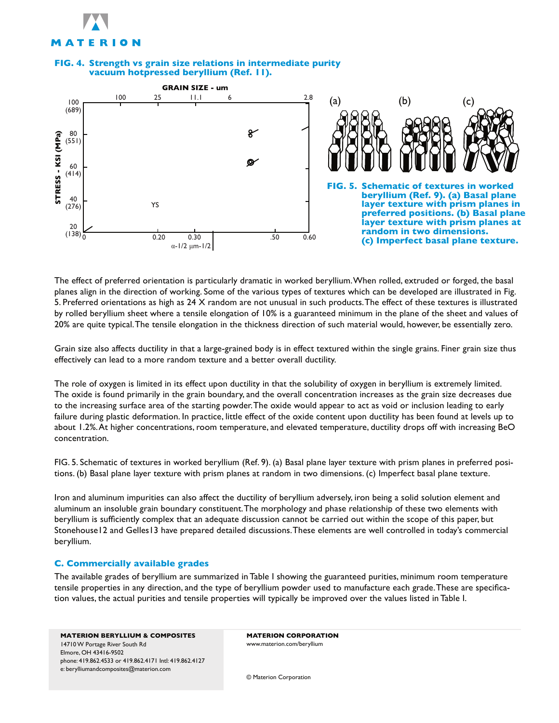

#### **FIG. 4. Strength vs grain size relations in intermediate purity vacuum hotpressed beryllium (Ref. 11).**



The effect of preferred orientation is particularly dramatic in worked beryllium. When rolled, extruded or forged, the basal planes align in the direction of working. Some of the various types of textures which can be developed are illustrated in Fig. 5. Preferred orientations as high as 24 X random are not unusual in such products. The effect of these textures is illustrated by rolled beryllium sheet where a tensile elongation of 10% is a guaranteed minimum in the plane of the sheet and values of 20% are quite typical. The tensile elongation in the thickness direction of such material would, however, be essentially zero.

Grain size also affects ductility in that a large-grained body is in effect textured within the single grains. Finer grain size thus effectively can lead to a more random texture and a better overall ductility.

The role of oxygen is limited in its effect upon ductility in that the solubility of oxygen in beryllium is extremely limited. The oxide is found primarily in the grain boundary, and the overall concentration increases as the grain size decreases due to the increasing surface area of the starting powder. The oxide would appear to act as void or inclusion leading to early failure during plastic deformation. In practice, little effect of the oxide content upon ductility has been found at levels up to about 1.2%. At higher concentrations, room temperature, and elevated temperature, ductility drops off with increasing BeO concentration.

FIG. 5. Schematic of textures in worked beryllium (Ref. 9). (a) Basal plane layer texture with prism planes in preferred positions. (b) Basal plane layer texture with prism planes at random in two dimensions. (c) Imperfect basal plane texture.

Iron and aluminum impurities can also affect the ductility of beryllium adversely, iron being a solid solution element and aluminum an insoluble grain boundary constituent. The morphology and phase relationship of these two elements with beryllium is sufficiently complex that an adequate discussion cannot be carried out within the scope of this paper, but Stonehouse12 and Gelles13 have prepared detailed discussions. These elements are well controlled in today's commercial beryllium.

## **C. Commercially available grades**

The available grades of beryllium are summarized in Table I showing the guaranteed purities, minimum room temperature tensile properties in any direction, and the type of beryllium powder used to manufacture each grade. These are specification values, the actual purities and tensile properties will typically be improved over the values listed in Table I.

**MATERION BERYLLIUM & COMPOSITES**  14710 W Portage River South Rd Elmore, OH 43416-9502 phone: 419.862.4533 or 419.862.4171 Intl: 419.862.4127 e: berylliumandcomposites@materion.com

**MATERION CORPORATION** www.materion.com/beryllium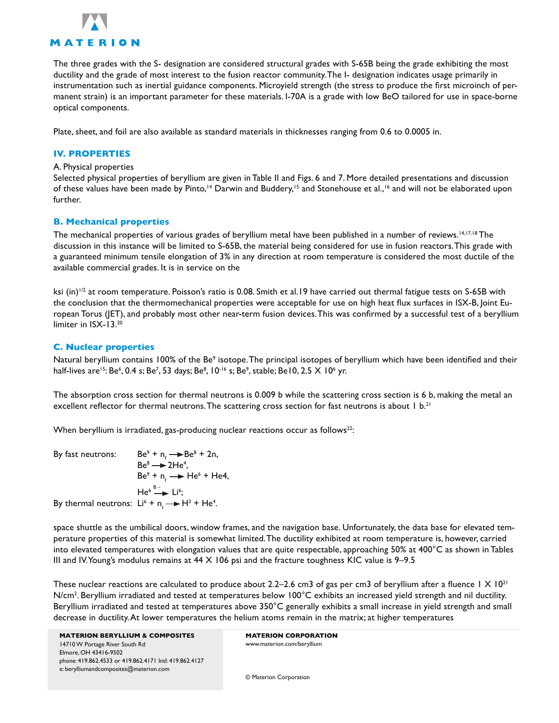

The three grades with the S- designation are considered structural grades with S-65B being the grade exhibiting the most ductility and the grade of most interest to the fusion reactor community. The I- designation indicates usage primarily in instrumentation such as inertial guidance components. Microyield strength (the stress to produce the first microinch of permanent strain) is an important parameter for these materials. I-70A is a grade with low BeO tailored for use in space-borne optical components.

Plate, sheet, and foil are also available as standard materials in thicknesses ranging from 0.6 to 0.0005 in.

## **IV. PROPERTIES**

#### A. Physical properties

Selected physical properties of beryllium are given in Table II and Figs. 6 and 7. More detailed presentations and discussion of these values have been made by Pinto,<sup>14</sup> Darwin and Buddery,<sup>15</sup> and Stonehouse et al.,<sup>16</sup> and will not be elaborated upon further.

#### **B. Mechanical properties**

The mechanical properties of various grades of beryllium metal have been published in a number of reviews.<sup>14,17,18</sup> The discussion in this instance will be limited to S-65B, the material being considered for use in fusion reactors. This grade with a guaranteed minimum tensile elongation of 3% in any direction at room temperature is considered the most ductile of the available commercial grades. It is in service on the

ksi (in)<sup>1/2</sup> at room temperature. Poisson's ratio is 0.08. Smith et al.19 have carried out thermal fatigue tests on S-65B with the conclusion that the thermomechanical properties were acceptable for use on high heat flux surfaces in ISX-B, Joint European Torus (JET), and probably most other near-term fusion devices. This was confirmed by a successful test of a beryllium limiter in ISX-13.<sup>20</sup>

#### **C. Nuclear properties**

Natural beryllium contains 100% of the Be<sup>9</sup> isotope. The principal isotopes of beryllium which have been identified and their half-lives are<sup>15</sup>: Be<sup>6</sup>, 0.4 s; Be<sup>7</sup>, 53 days; Be<sup>8</sup>, 10<sup>-16</sup> s; Be<sup>9</sup>, stable; Be10, 2.5 X 10<sup>6</sup> yr.

The absorption cross section for thermal neutrons is 0.009 b while the scattering cross section is 6 b, making the metal an excellent reflector for thermal neutrons. The scattering cross section for fast neutrons is about 1 b.<sup>21</sup>

When beryllium is irradiated, gas-producing nuclear reactions occur as follows<sup>22</sup>:

By fast neutrons: +  $n_f \rightarrow Be^8 + 2n$ ,  $Be^8 \longrightarrow 2He^4$ ,  $Be<sup>9</sup> + n<sub>f</sub> \longrightarrow He<sup>6</sup> + He4$ ,  $He<sup>6</sup>$   $\xrightarrow{B^-}$  Li<sup>6</sup>; By thermal neutrons:  $Li^6 + n$ <sub>t</sub>  $\longrightarrow H^3 + He^4$ .

space shuttle as the umbilical doors, window frames, and the navigation base. Unfortunately, the data base for elevated temperature properties of this material is somewhat limited. The ductility exhibited at room temperature is, however, carried into elevated temperatures with elongation values that are quite respectable, approaching 50% at 400°C as shown in Tables III and IV. Young's modulus remains at  $44 \times 106$  psi and the fracture toughness KIC value is  $9-9.5$ 

These nuclear reactions are calculated to produce about 2.2–2.6 cm3 of gas per cm3 of beryllium after a fluence  $1 \times 10^{21}$ N/cm<sup>2</sup>. Beryllium irradiated and tested at temperatures below 100°C exhibits an increased yield strength and nil ductility. Beryllium irradiated and tested at temperatures above 350°C generally exhibits a small increase in yield strength and small decrease in ductility. At lower temperatures the helium atoms remain in the matrix; at higher temperatures

**MATERION BERYLLIUM & COMPOSITES**  14710 W Portage River South Rd Elmore, OH 43416-9502 phone: 419.862.4533 or 419.862.4171 Intl: 419.862.4127 e: berylliumandcomposites@materion.com

**MATERION CORPORATION** www.materion.com/beryllium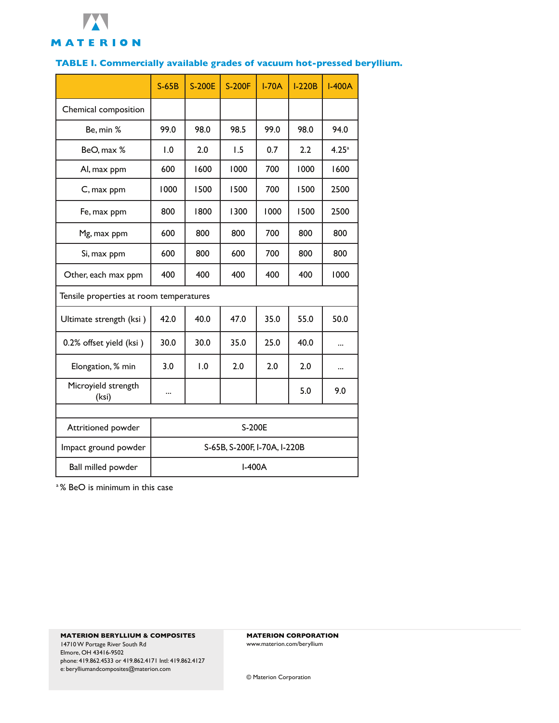

## **TABLE I. Commercially available grades of vacuum hot-pressed beryllium.**

|                                         | $S-65B$                      | <b>S-200E</b> | <b>S-200F</b> | $I-70A$ | $I-220B$ | <b>I-400A</b>     |
|-----------------------------------------|------------------------------|---------------|---------------|---------|----------|-------------------|
| Chemical composition                    |                              |               |               |         |          |                   |
| Be, min %                               | 99.0                         | 98.0          | 98.5          | 99.0    | 98.0     | 94.0              |
| BeO, max %                              | 1.0                          | 2.0           | 1.5           | 0.7     | 2.2      | 4.25 <sup>a</sup> |
| Al, max ppm                             | 600                          | 1600          | 1000          | 700     | 1000     | 1600              |
| C, max ppm                              | 1000                         | 1500          | 1500          | 700     | 1500     | 2500              |
| Fe, max ppm                             | 800                          | 1800          | 1300          | 1000    | 1500     | 2500              |
| Mg, max ppm                             | 600                          | 800           | 800           | 700     | 800      | 800               |
| Si, max ppm                             | 600                          | 800           | 600           | 700     | 800      | 800               |
| Other, each max ppm                     | 400                          | 400           | 400           | 400     | 400      | 1000              |
| Tensile properties at room temperatures |                              |               |               |         |          |                   |
| Ultimate strength (ksi)                 | 42.0                         | 40.0          | 47.0          | 35.0    | 55.0     | 50.0              |
| 0.2% offset yield (ksi)                 | 30.0                         | 30.0          | 35.0          | 25.0    | 40.0     |                   |
| Elongation, % min                       | 3.0                          | 1.0           | 2.0           | 2.0     | 2.0      |                   |
| Microyield strength<br>(ksi)            |                              |               |               |         | 5.0      | 9.0               |
|                                         |                              |               |               |         |          |                   |
| Attritioned powder                      | S-200E                       |               |               |         |          |                   |
| Impact ground powder                    | S-65B, S-200F, I-70A, I-220B |               |               |         |          |                   |
| Ball milled powder                      | <b>I-400A</b>                |               |               |         |          |                   |

<sup>a</sup>% BeO is minimum in this case

**MATERION BERYLLIUM & COMPOSITES**  14710 W Portage River South Rd Elmore, OH 43416-9502 phone: 419.862.4533 or 419.862.4171 Intl: 419.862.4127 e: berylliumandcomposites@materion.com

**MATERION CORPORATION** www.materion.com/beryllium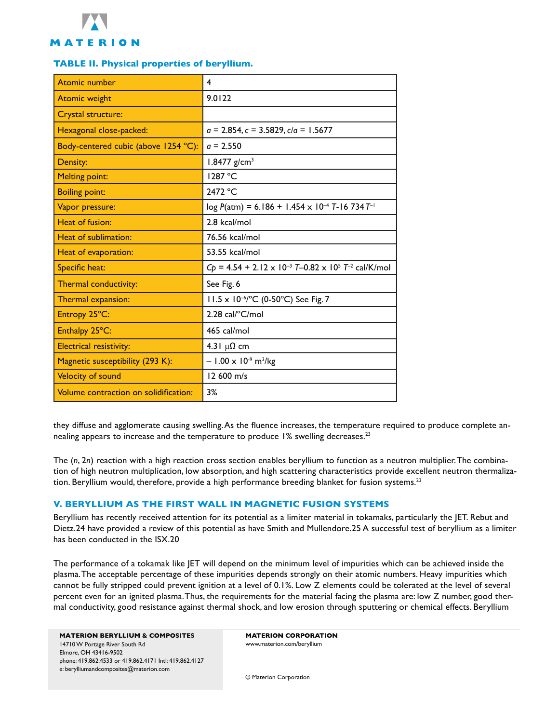

#### **TABLE II. Physical properties of beryllium.**

| <b>Atomic number</b>                  | 4                                                                                    |  |  |
|---------------------------------------|--------------------------------------------------------------------------------------|--|--|
| Atomic weight                         | 9.0122                                                                               |  |  |
| Crystal structure:                    |                                                                                      |  |  |
| Hexagonal close-packed:               | $a = 2.854$ , $c = 3.5829$ , $c/a = 1.5677$                                          |  |  |
| Body-centered cubic (above 1254 °C):  | $q = 2.550$                                                                          |  |  |
| Density:                              | 1.8477 g/cm <sup>3</sup>                                                             |  |  |
| <b>Melting point:</b>                 | 1287 °C                                                                              |  |  |
| <b>Boiling point:</b>                 | 2472 °C                                                                              |  |  |
| Vapor pressure:                       | $log P(atm) = 6.186 + 1.454 \times 10^{-4} T - 16.734 T^{-1}$                        |  |  |
| Heat of fusion:                       | 2.8 kcal/mol                                                                         |  |  |
| Heat of sublimation:                  | 76.56 kcal/mol                                                                       |  |  |
| Heat of evaporation:                  | 53.55 kcal/mol                                                                       |  |  |
| Specific heat:                        | $Cp = 4.54 + 2.12 \times 10^{-3}$ T-0.82 x 10 <sup>5</sup> T <sup>-2</sup> cal/K/mol |  |  |
| Thermal conductivity:                 | See Fig. 6                                                                           |  |  |
| Thermal expansion:                    | 11.5 x 10 <sup>-6</sup> /°C (0-50°C) See Fig. 7                                      |  |  |
| Entropy 25°C:                         | 2.28 cal/°C/mol                                                                      |  |  |
| Enthalpy 25°C:                        | 465 cal/mol                                                                          |  |  |
| <b>Electrical resistivity:</b>        | 4.31 $\mu\Omega$ cm                                                                  |  |  |
| Magnetic susceptibility (293 K):      | $-1.00 \times 10^{-9}$ m <sup>3</sup> /kg                                            |  |  |
| <b>Velocity of sound</b>              | 12 600 m/s                                                                           |  |  |
| Volume contraction on solidification: | 3%                                                                                   |  |  |

they diffuse and agglomerate causing swelling. As the fluence increases, the temperature required to produce complete annealing appears to increase and the temperature to produce 1% swelling decreases.<sup>23</sup>

The (*n*, 2*n*) reaction with a high reaction cross section enables beryllium to function as a neutron multiplier. The combination of high neutron multiplication, low absorption, and high scattering characteristics provide excellent neutron thermalization. Beryllium would, therefore, provide a high performance breeding blanket for fusion systems.<sup>23</sup>

#### **V. BERYLLIUM AS THE FIRST WALL IN MAGNETIC FUSION SYSTEMS**

Beryllium has recently received attention for its potential as a limiter material in tokamaks, particularly the JET. Rebut and Dietz.24 have provided a review of this potential as have Smith and Mullendore.25 A successful test of beryllium as a limiter has been conducted in the ISX.20

The performance of a tokamak like JET will depend on the minimum level of impurities which can be achieved inside the plasma. The acceptable percentage of these impurities depends strongly on their atomic numbers. Heavy impurities which cannot be fully stripped could prevent ignition at a level of 0.1%. Low Z elements could be tolerated at the level of several percent even for an ignited plasma. Thus, the requirements for the material facing the plasma are: low Z number, good thermal conductivity, good resistance against thermal shock, and low erosion through sputtering or chemical effects. Beryllium

**MATERION BERYLLIUM & COMPOSITES**  14710 W Portage River South Rd Elmore, OH 43416-9502 phone: 419.862.4533 or 419.862.4171 Intl: 419.862.4127 e: berylliumandcomposites@materion.com

**MATERION CORPORATION** www.materion.com/beryllium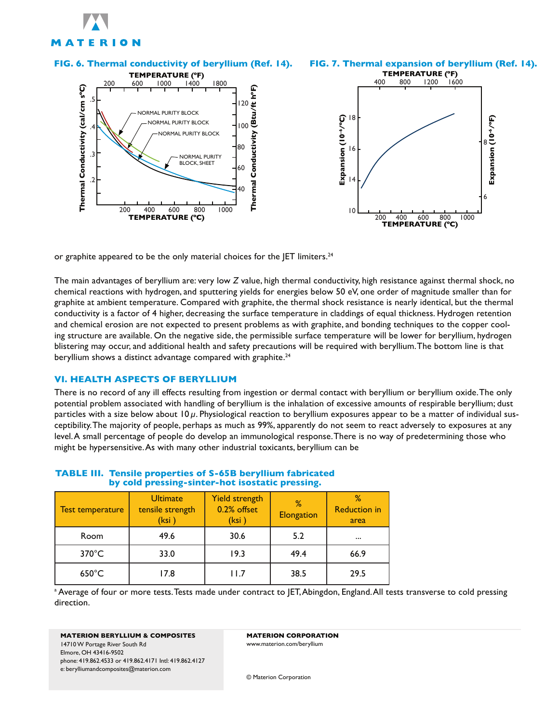





or graphite appeared to be the only material choices for the JET limiters.<sup>24</sup>

The main advantages of beryllium are: very low *Z* value, high thermal conductivity, high resistance against thermal shock, no chemical reactions with hydrogen, and sputtering yields for energies below 50 eV, one order of magnitude smaller than for graphite at ambient temperature. Compared with graphite, the thermal shock resistance is nearly identical, but the thermal conductivity is a factor of 4 higher, decreasing the surface temperature in claddings of equal thickness. Hydrogen retention and chemical erosion are not expected to present problems as with graphite, and bonding techniques to the copper cooling structure are available. On the negative side, the permissible surface temperature will be lower for beryllium, hydrogen blistering may occur, and additional health and safety precautions will be required with beryllium. The bottom line is that beryllium shows a distinct advantage compared with graphite.<sup>24</sup>

#### **VI. HEALTH ASPECTS OF BERYLLIUM**

There is no record of any ill effects resulting from ingestion or dermal contact with beryllium or beryllium oxide. The only potential problem associated with handling of beryllium is the inhalation of excessive amounts of respirable beryllium; dust particles with a size below about 10 *μ*. Physiological reaction to beryllium exposures appear to be a matter of individual susceptibility. The majority of people, perhaps as much as 99%, apparently do not seem to react adversely to exposures at any level. A small percentage of people do develop an immunological response. There is no way of predetermining those who might be hypersensitive. As with many other industrial toxicants, beryllium can be

| by cold pressing-sinter-hot isostatic pressing. |                                               |                                           |                   |                             |  |  |  |
|-------------------------------------------------|-----------------------------------------------|-------------------------------------------|-------------------|-----------------------------|--|--|--|
| <b>Test temperature</b>                         | <b>Ultimate</b><br>tensile strength<br>(ksi i | Yield strength<br>$0.2%$ offset<br>(ksi ' | <b>Elongation</b> | <b>Reduction in</b><br>area |  |  |  |

Room | 49.6 | 30.6 | 5.2 | ... 370°C | 33.0 | 19.3 | 49.4 | 66.9

650°C 17.8 11.7 38.5 29.5

# **TABLE III. Tensile properties of S-65B beryllium fabricated**

| a Average of four or more tests. Tests made under contract to JET, Abingdon, England. All tests transverse to cold pressing |  |  |  |  |
|-----------------------------------------------------------------------------------------------------------------------------|--|--|--|--|
| direction.                                                                                                                  |  |  |  |  |

**MATERION BERYLLIUM & COMPOSITES**  14710 W Portage River South Rd Elmore, OH 43416-9502 phone: 419.862.4533 or 419.862.4171 Intl: 419.862.4127 e: berylliumandcomposites@materion.com

**MATERION CORPORATION** www.materion.com/beryllium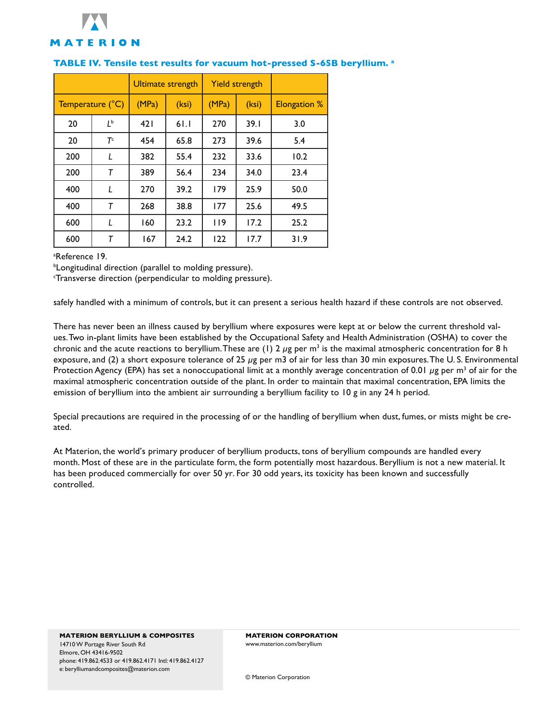

|                  |                | <b>Ultimate strength</b> |       | <b>Yield strength</b> |       |                     |
|------------------|----------------|--------------------------|-------|-----------------------|-------|---------------------|
| Temperature (°C) |                | (MPa)                    | (ksi) | (MPa)                 | (ksi) | <b>Elongation %</b> |
| 20               | Lb             | 421                      | 61.1  | 270                   | 39.1  | 3.0                 |
| 20               | T <sup>c</sup> | 454                      | 65.8  | 273                   | 39.6  | 5.4                 |
| 200              | L              | 382                      | 55.4  | 232                   | 33.6  | 10.2                |
| 200              | Т              | 389                      | 56.4  | 234                   | 34.0  | 23.4                |
| 400              | L              | 270                      | 39.2  | 179                   | 25.9  | 50.0                |
| 400              | T              | 268                      | 38.8  | 177                   | 25.6  | 49.5                |
| 600              | L              | 160                      | 23.2  | 119                   | 17.2  | 25.2                |
| 600              | т              | 167                      | 24.2  | 122                   | 17.7  | 31.9                |

#### **TABLE IV. Tensile test results for vacuum hot-pressed S-65B beryllium. a**

a Reference 19.

<sup>b</sup>Longitudinal direction (parallel to molding pressure).

c Transverse direction (perpendicular to molding pressure).

safely handled with a minimum of controls, but it can present a serious health hazard if these controls are not observed.

There has never been an illness caused by beryllium where exposures were kept at or below the current threshold values. Two in-plant limits have been established by the Occupational Safety and Health Administration (OSHA) to cover the chronic and the acute reactions to beryllium. These are (1) 2  $\mu$ g per m<sup>3</sup> is the maximal atmospheric concentration for 8 h exposure, and (2) a short exposure tolerance of 25 *μ*g per m3 of air for less than 30 min exposures. The U. S. Environmental Protection Agency (EPA) has set a nonoccupational limit at a monthly average concentration of 0.01 μg per m<sup>3</sup> of air for the maximal atmospheric concentration outside of the plant. In order to maintain that maximal concentration, EPA limits the emission of beryllium into the ambient air surrounding a beryllium facility to 10 g in any 24 h period.

Special precautions are required in the processing of or the handling of beryllium when dust, fumes, or mists might be created.

At Materion, the world's primary producer of beryllium products, tons of beryllium compounds are handled every month. Most of these are in the particulate form, the form potentially most hazardous. Beryllium is not a new material. It has been produced commercially for over 50 yr. For 30 odd years, its toxicity has been known and successfully controlled.

**MATERION BERYLLIUM & COMPOSITES**  14710 W Portage River South Rd Elmore, OH 43416-9502 phone: 419.862.4533 or 419.862.4171 Intl: 419.862.4127 e: berylliumandcomposites@materion.com

**MATERION CORPORATION** www.materion.com/beryllium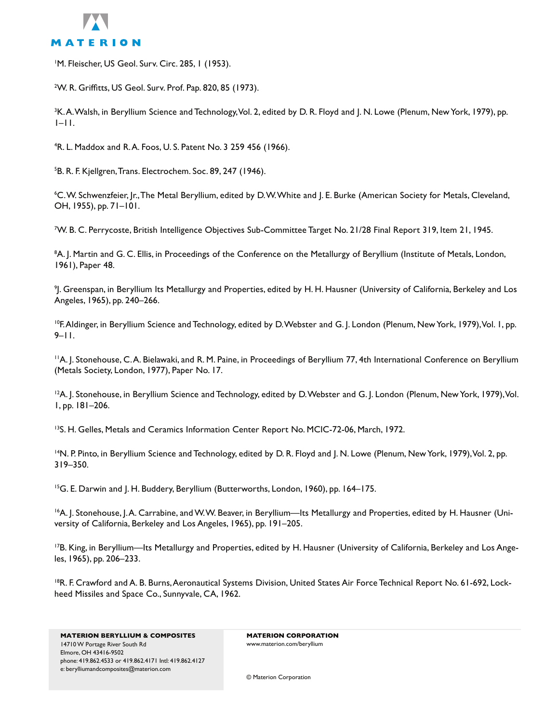

1 M. Fleischer, US Geol. Surv. Circ. 285, 1 (1953).

2 W. R. Griffitts, US Geol. Surv. Prof. Pap. 820, 85 (1973).

3 K. A. Walsh, in Beryllium Science and Technology, Vol. 2, edited by D. R. Floyd and J. N. Lowe (Plenum, New York, 1979), pp. 1–11.

4 R. L. Maddox and R. A. Foos, U. S. Patent No. 3 259 456 (1966).

5 B. R. F. Kjellgren, Trans. Electrochem. Soc. 89, 247 (1946).

6 C. W. Schwenzfeier, Jr., The Metal Beryllium, edited by D. W. White and J. E. Burke (American Society for Metals, Cleveland, OH, 1955), pp. 71–101.

7 W. B. C. Perrycoste, British Intelligence Objectives Sub-Committee Target No. 21/28 Final Report 319, Item 21, 1945.

8 A. J. Martin and G. C. Ellis, in Proceedings of the Conference on the Metallurgy of Beryllium (Institute of Metals, London, 1961), Paper 48.

9 J. Greenspan, in Beryllium Its Metallurgy and Properties, edited by H. H. Hausner (University of California, Berkeley and Los Angeles, 1965), pp. 240–266.

<sup>10</sup>F. Aldinger, in Beryllium Science and Technology, edited by D. Webster and G. J. London (Plenum, New York, 1979), Vol. 1, pp.  $9 - 11$ .

11A. J. Stonehouse, C. A. Bielawaki, and R. M. Paine, in Proceedings of Beryllium 77, 4th International Conference on Beryllium (Metals Society, London, 1977), Paper No. 17.

<sup>12</sup>A. J. Stonehouse, in Beryllium Science and Technology, edited by D. Webster and G. J. London (Plenum, New York, 1979), Vol. 1, pp. 181–206.

<sup>13</sup>S. H. Gelles, Metals and Ceramics Information Center Report No. MCIC-72-06, March, 1972.

<sup>14</sup>N. P. Pinto, in Beryllium Science and Technology, edited by D. R. Floyd and J. N. Lowe (Plenum, New York, 1979), Vol. 2, pp. 319–350.

<sup>15</sup>G. E. Darwin and J. H. Buddery, Beryllium (Butterworths, London, 1960), pp. 164–175.

<sup>16</sup>A. J. Stonehouse, J. A. Carrabine, and W. W. Beaver, in Beryllium—Its Metallurgy and Properties, edited by H. Hausner (University of California, Berkeley and Los Angeles, 1965), pp. 191–205.

<sup>17</sup>B. King, in Beryllium—Its Metallurgy and Properties, edited by H. Hausner (University of California, Berkeley and Los Angeles, 1965), pp. 206–233.

<sup>18</sup>R. F. Crawford and A. B. Burns, Aeronautical Systems Division, United States Air Force Technical Report No. 61-692, Lockheed Missiles and Space Co., Sunnyvale, CA, 1962.

**MATERION CORPORATION** www.materion.com/beryllium